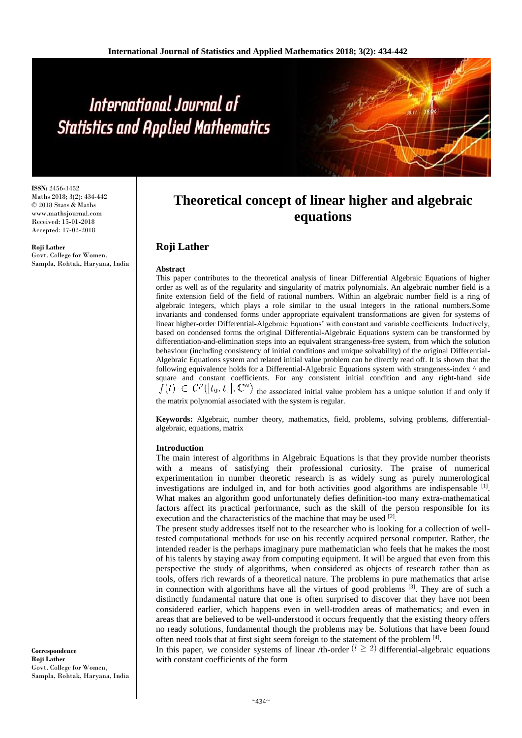**ISSN:** 2456**-**1452 Maths 2018; 3(2): 434-442 © 2018 Stats & Maths www.mathsjournal.com Received: 15**-**01**-**2018 Accepted: 17**-**02**-**2018

**Roji Lather** Govt. College for Women, Sampla, Rohtak, Haryana, India

# **Theoretical concept of linear higher and algebraic equations**

# **Roji Lather**

#### **Abstract**

This paper contributes to the theoretical analysis of linear Differential Algebraic Equations of higher order as well as of the regularity and singularity of matrix polynomials. An algebraic number field is a finite extension field of the field of rational numbers. Within an algebraic number field is a ring of algebraic integers, which plays a role similar to the usual integers in the rational numbers.Some invariants and condensed forms under appropriate equivalent transformations are given for systems of linear higher**-**order Differential**-**Algebraic Equations' with constant and variable coefficients. Inductively, based on condensed forms the original Differential**-**Algebraic Equations system can be transformed by differentiation**-**and**-**elimination steps into an equivalent strangeness**-**free system, from which the solution behaviour (including consistency of initial conditions and unique solvability) of the original Differential**-**Algebraic Equations system and related initial value problem can be directly read off. It is shown that the following equivalence holds for a Differential**-**Algebraic Equations system with strangeness**-**index ^ and square and constant coefficients. For any consistent initial condition and any right-hand side  $f(t) \in C^{\mu}([t_0, t_1], \mathbb{C}^n)$  the associated initial value problem has a unique solution if and only if

the matrix polynomial associated with the system is regular.

**Keywords:** Algebraic, number theory, mathematics, field, problems, solving problems, differentialalgebraic, equations, matrix

### **Introduction**

The main interest of algorithms in Algebraic Equations is that they provide number theorists with a means of satisfying their professional curiosity. The praise of numerical experimentation in number theoretic research is as widely sung as purely numerological investigations are indulged in, and for both activities good algorithms are indispensable  $^{[1]}$ . What makes an algorithm good unfortunately defies definition**-**too many extra**-**mathematical factors affect its practical performance, such as the skill of the person responsible for its execution and the characteristics of the machine that may be used [2].

The present study addresses itself not to the researcher who is looking for a collection of welltested computational methods for use on his recently acquired personal computer. Rather, the intended reader is the perhaps imaginary pure mathematician who feels that he makes the most of his talents by staying away from computing equipment. It will be argued that even from this perspective the study of algorithms, when considered as objects of research rather than as tools, offers rich rewards of a theoretical nature. The problems in pure mathematics that arise in connection with algorithms have all the virtues of good problems [3]. They are of such a distinctly fundamental nature that one is often surprised to discover that they have not been considered earlier, which happens even in well**-**trodden areas of mathematics; and even in areas that are believed to be well**-**understood it occurs frequently that the existing theory offers no ready solutions, fundamental though the problems may be. Solutions that have been found often need tools that at first sight seem foreign to the statement of the problem [4].

In this paper, we consider systems of linear /th-order  $(l \geq 2)$  differential-algebraic equations with constant coefficients of the form

**Correspondence Roji Lather** Govt. College for Women, Sampla, Rohtak, Haryana, India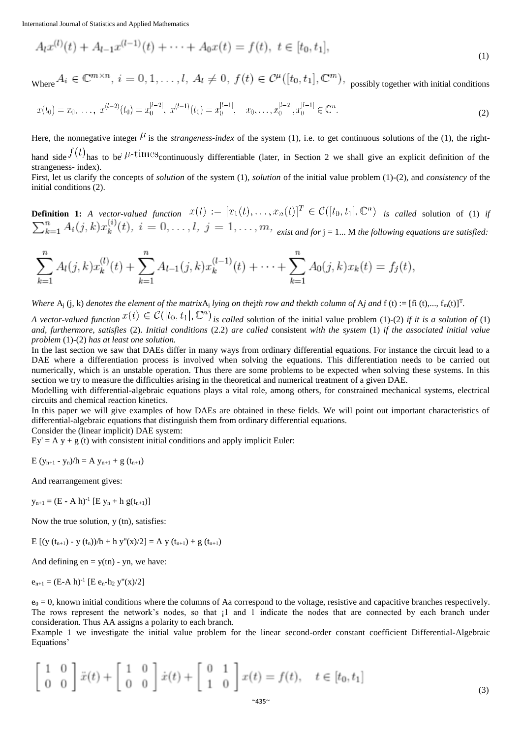$$
A_l x^{(l)}(t) + A_{l-1} x^{(l-1)}(t) + \dots + A_0 x(t) = f(t), \ t \in [t_0, t_1],
$$
\n(1)

Where  $A_i \in \mathbb{C}^{m \times n}$ ,  $i = 0, 1, ..., l$ ,  $A_i \neq 0$ ,  $f(t) \in \mathcal{C}^{\mu}([t_0, t_1], \mathbb{C}^m)$ , possibly together with initial conditions

$$
x(t_0) = x_0, \ \ldots, \ x^{(l-2)}(t_0) = x_0^{|l-2|}, \ x^{(l-1)}(t_0) = x_0^{|l-1|}, \quad x_0, \ldots, x_0^{|l-2|}, x_0^{|l-1|} \in \mathbb{C}^n.
$$
\n
$$
(2)
$$

Here, the nonnegative integer  $\mu$  is the *strangeness-index* of the system (1), i.e. to get continuous solutions of the (1), the righthand side  $f(t)$  has to be  $\mu$ -times continuously differentiable (later, in Section 2 we shall give an explicit definition of the strangeness**-** index). First, let us clarify the concepts of *solution* of the system (1), *solution* of the initial value problem (1)**-**(2), and *consistency* of the initial conditions (2).

**Definition 1:** *A vector-valued function*  $x(t) := [x_1(t), \ldots, x_n(t)]^T \in C([t_0, t_1], \mathbb{C}^n)$  *is called* solution of (1) *if*  $\sum_{k=1}^{n} A_i(j,k) x_k^{(i)}(t), i = 0, \ldots, l, j = 1, \ldots, m$ , exist and for j = 1... M the following equations are satisfied:

$$
\sum_{k=1}^{n} A_l(j,k) x_k^{(l)}(t) + \sum_{k=1}^{n} A_{l-1}(j,k) x_k^{(l-1)}(t) + \cdots + \sum_{k=1}^{n} A_0(j,k) x_k(t) = f_j(t),
$$

*Where*  $A_j$  (j, k) *denotes the element of the matrix* $A_j$  *lying on thejth row and thekth column of*  $A_j$  *and*  $f$  (t) := [fi (t),...,  $f_m(t)$ ]<sup>T</sup>. *A vector-valued function*  $x(t) \in C(|t_0, t_1|, \mathbb{C}^n)$  *is called* solution of the initial value problem (1)-(2) *if it is a solution of* (1) *and, furthermore, satisfies* (2). *Initial conditions* (2.2) *are called* consistent *with the system* (1) *if the associated initial value* 

*problem* (1)**-**(2) *has at least one solution.*

In the last section we saw that DAEs differ in many ways from ordinary differential equations. For instance the circuit lead to a DAE where a differentiation process is involved when solving the equations. This differentiation needs to be carried out numerically, which is an unstable operation. Thus there are some problems to be expected when solving these systems. In this section we try to measure the difficulties arising in the theoretical and numerical treatment of a given DAE.

Modelling with differential**-**algebraic equations plays a vital role, among others, for constrained mechanical systems, electrical circuits and chemical reaction kinetics.

In this paper we will give examples of how DAEs are obtained in these fields. We will point out important characteristics of differential**-**algebraic equations that distinguish them from ordinary differential equations.

Consider the (linear implicit) DAE system:

 $Ey' = A y + g(t)$  with consistent initial conditions and apply implicit Euler:

 $E(y_{n+1} - y_n)/h = A y_{n+1} + g(t_{n+1})$ 

And rearrangement gives:

 $y_{n+1} = (E - A h)^{-1} [E y_n + h g(t_{n+1})]$ 

Now the true solution, y (tn), satisfies:

E  $[(y(t_{n+1}) - y(t_n))/h + h y''(x)/2] = A y(t_{n+1}) + g(t_{n+1})$ 

And defining  $en = y(tn) - yn$ , we have:

 $e_{n+1} = (E - A h)^{-1} [E e_n - h_2 y''(x)/2]$ 

 $e_0 = 0$ , known initial conditions where the columns of Aa correspond to the voltage, resistive and capacitive branches respectively. The rows represent the network's nodes, so that  $1$  and 1 indicate the nodes that are connected by each branch under consideration. Thus AA assigns a polarity to each branch.

Example 1 we investigate the initial value problem for the linear second**-**order constant coefficient Differential**-**Algebraic Equations'

$$
\begin{bmatrix} 1 & 0 \ 0 & 0 \end{bmatrix} \ddot{x}(t) + \begin{bmatrix} 1 & 0 \ 0 & 0 \end{bmatrix} \dot{x}(t) + \begin{bmatrix} 0 & 1 \ 1 & 0 \end{bmatrix} x(t) = f(t), \quad t \in [t_0, t_1]
$$

(3)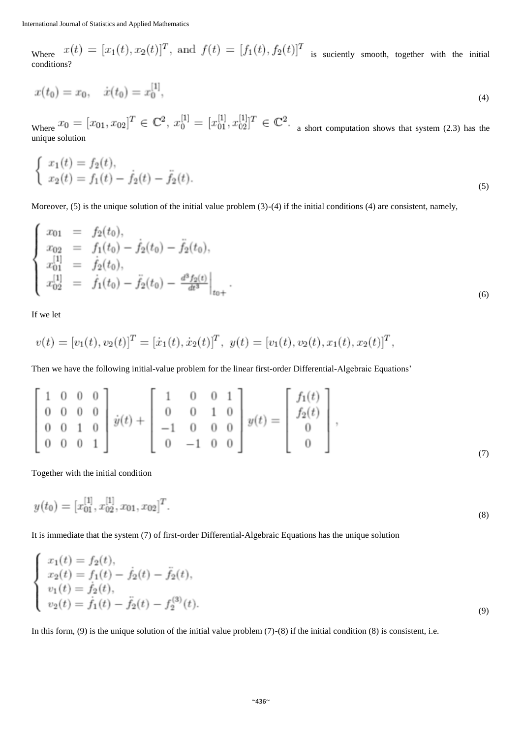Where  $x(t) = [x_1(t), x_2(t)]^T$ , and  $f(t) = [f_1(t), f_2(t)]^T$  is suciently smooth, together with the initial conditions?

$$
x(t_0) = x_0, \quad \dot{x}(t_0) = x_0^{[1]}, \tag{4}
$$

Where  $x_0 = [x_{01}, x_{02}]^T \in \mathbb{C}^2$ ,  $x_0^{[1]} = [x_{01}^{[1]}, x_{02}^{[1]}]^T \in \mathbb{C}^2$ . a short computation shows that system (2.3) has the unique solution

$$
\begin{cases}\nx_1(t) = f_2(t), \\
x_2(t) = f_1(t) - \dot{f}_2(t) - \ddot{f}_2(t).\n\end{cases} (5)
$$

Moreover, (5) is the unique solution of the initial value problem (3)**-**(4) if the initial conditions (4) are consistent, namely,

$$
\begin{cases}\nx_{01} = f_2(t_0), \\
x_{02} = f_1(t_0) - \dot{f}_2(t_0) - \ddot{f}_2(t_0), \\
x_{01}^{[1]} = \dot{f}_2(t_0), \\
x_{02}^{[1]} = \dot{f}_1(t_0) - \ddot{f}_2(t_0) - \frac{d^3 f_2(t)}{dt^3}\big|_{t_0+}.\n\end{cases} (6)
$$

If we let

$$
v(t) = [v_1(t), v_2(t)]^T = [\dot{x}_1(t), \dot{x}_2(t)]^T, \ y(t) = [v_1(t), v_2(t), x_1(t), x_2(t)]^T,
$$

Then we have the following initial**-**value problem for the linear first**-**order Differential**-**Algebraic Equations'

$$
\begin{bmatrix} 1 & 0 & 0 & 0 \\ 0 & 0 & 0 & 0 \\ 0 & 0 & 1 & 0 \\ 0 & 0 & 0 & 1 \end{bmatrix} \dot{y}(t) + \begin{bmatrix} 1 & 0 & 0 & 1 \\ 0 & 0 & 1 & 0 \\ -1 & 0 & 0 & 0 \\ 0 & -1 & 0 & 0 \end{bmatrix} y(t) = \begin{bmatrix} f_1(t) \\ f_2(t) \\ 0 \\ 0 \end{bmatrix},
$$
\n(7)

Together with the initial condition

$$
y(t_0) = [x_{01}^{[1]}, x_{02}^{[1]}, x_{01}, x_{02}]^T.
$$
\n(8)

It is immediate that the system (7) of first**-**order Differential**-**Algebraic Equations has the unique solution

$$
\begin{cases}\nx_1(t) = f_2(t), \\
x_2(t) = f_1(t) - \dot{f}_2(t) - \ddot{f}_2(t), \\
v_1(t) = \dot{f}_2(t), \\
v_2(t) = \dot{f}_1(t) - \ddot{f}_2(t) - f_2^{(3)}(t).\n\end{cases} (9)
$$

In this form, (9) is the unique solution of the initial value problem (7)**-**(8) if the initial condition (8) is consistent, i.e.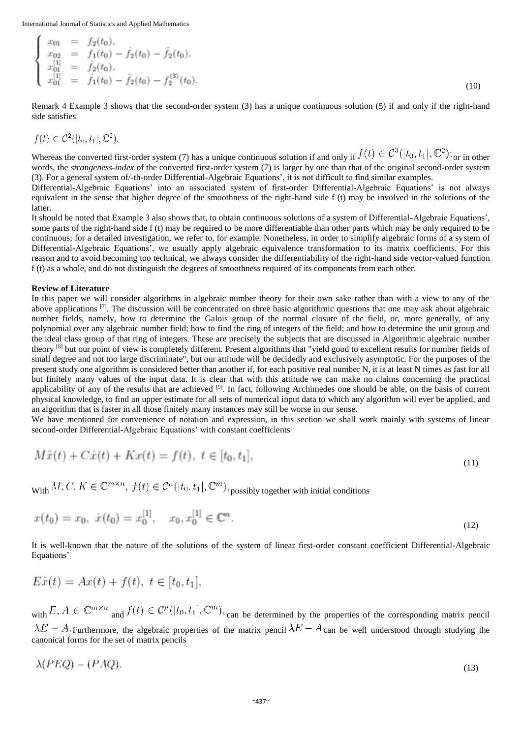International Journal of Statistics and Applied Mathematics  $\sim$   $\sim$   $\sim$ 

$$
\begin{array}{rcl}\nx_{01} &=& f_2(t_0), \\
x_{02} &=& f_1(t_0) - \dot{f}_2(t_0) - \ddot{f}_2(t_0), \\
x_{01}^{[1]} &=& \dot{f}_2(t_0), \\
x_{01}^{[1]} &=& \dot{f}_1(t_0) - \ddot{f}_2(t_0) - \dot{f}_2^{(3)}(t_0).\n\end{array} \tag{10}
$$

Remark 4 Example 3 shows that the second**-**order system (3) has a unique continuous solution (5) if and only if the right**-**hand side satisfies

$$
f(t) \in C^2([t_0, t_1], \mathbb{C}^2),
$$

Whereas the converted first-order system (7) has a unique continuous solution if and only if  $f(t) \in C^3([t_0, t_1], \mathbb{C}^2)$ ; or in other words, the *strangeness-index* of the converted first**-**order system (7) is larger by one than that of the original second**-**order system (3). For a general system of/**-**th**-**order Differential**-**Algebraic Equations', it is not difficult to find similar examples.

Differential**-**Algebraic Equations' into an associated system of first**-**order Differential**-**Algebraic Equations' is not always equivalent in the sense that higher degree of the smoothness of the right**-**hand side f (t) may be involved in the solutions of the latter.

It should be noted that Example 3 also shows that, to obtain continuous solutions of a system of Differential**-**Algebraic Equations', some parts of the right**-**hand side f (t) may be required to be more differentiable than other parts which may be only required to be continuous; for a detailed investigation, we refer to, for example. Nonetheless, in order to simplify algebraic forms of a system of Differential**-**Algebraic Equations', we usually apply algebraic equivalence transformation to its matrix coefficients. For this reason and to avoid becoming too technical, we always consider the differentiability of the right**-**hand side vector**-**valued function f (t) as a whole, and do not distinguish the degrees of smoothness required of its components from each other.

## **Review of Literature**

In this paper we will consider algorithms in algebraic number theory for their own sake rather than with a view to any of the above applications  $[7]$ . The discussion will be concentrated on three basic algorithmic questions that one may ask about algebraic number fields, namely, how to determine the Galois group of the normal closure of the field, or, more generally, of any polynomial over any algebraic number field; how to find the ring of integers of the field; and how to determine the unit group and the ideal class group of that ring of integers. These are precisely the subjects that are discussed in Algorithmic algebraic number theory [8] but our point of view is completely different. Present algorithms that "yield good to excellent results for number fields of small degree and not too large discriminate", but our attitude will be decidedly and exclusively asymptotic. For the purposes of the present study one algorithm is considered better than another if, for each positive real number N, it is at least N times as fast for all but finitely many values of the input data. It is clear that with this attitude we can make no claims concerning the practical applicability of any of the results that are achieved <sup>[9]</sup>. In fact, following Archimedes one should be able, on the basis of current physical knowledge, to find an upper estimate for all sets of numerical input data to which any algorithm will ever be applied, and an algorithm that is faster in all those finitely many instances may still be worse in our sense.

We have mentioned for convenience of notation and expression, in this section we shall work mainly with systems of linear second**-**order Differential**-**Algebraic Equations' with constant coefficients

$$
M\ddot{x}(t) + C\dot{x}(t) + Kx(t) = f(t), \ t \in [t_0, t_1],
$$
\n(11)

With  $M, C, K \in \mathbb{C}^{m \times n}$ ,  $f(t) \in C^{\mu}([t_0, t_1], \mathbb{C}^m)$ , possibly together with initial conditions

$$
x(t_0) = x_0, \ \dot{x}(t_0) = x_0^{[1]}, \quad x_0, x_0^{[1]} \in \mathbb{C}^n. \tag{12}
$$

It is well**-**known that the nature of the solutions of the system of linear first**-**order constant coefficient Differential**-**Algebraic Equations'

$$
E\dot{x}(t) = Ax(t) + f(t), \ t \in [t_0, t_1],
$$

with  $E, A \in \mathbb{C}^{m \times n}$  and  $f(t) \in \mathcal{C}^{\mu}([t_0, t_1], \mathbb{C}^m)$ , can be determined by the properties of the corresponding matrix pencil  $\lambda E - A$ . Furthermore, the algebraic properties of the matrix pencil  $\lambda E - A$  can be well understood through studying the canonical forms for the set of matrix pencils

$$
\lambda(PEQ) - (PAQ),\tag{13}
$$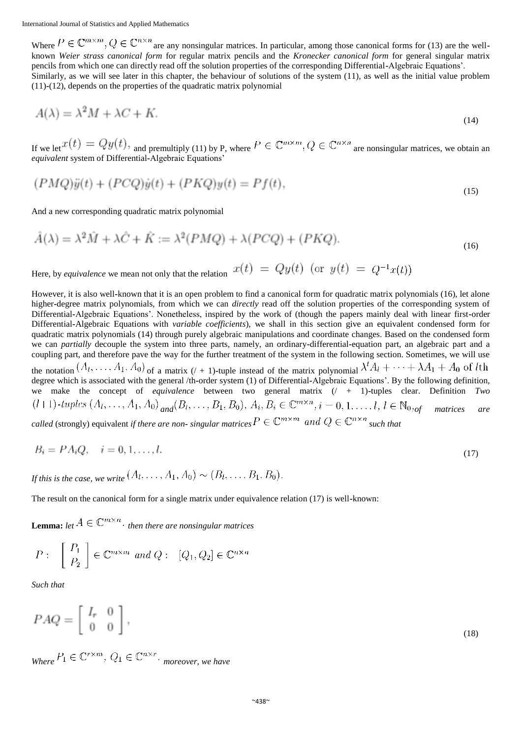Where  $P \in \mathbb{C}^{m \times m}$ ,  $Q \in \mathbb{C}^{n \times n}$  are any nonsingular matrices. In particular, among those canonical forms for (13) are the wellknown *Weier strass canonical form* for regular matrix pencils and the *Kronecker canonical form* for general singular matrix pencils from which one can directly read off the solution properties of the corresponding Differential**-**Algebraic Equations'. Similarly, as we will see later in this chapter, the behaviour of solutions of the system (11), as well as the initial value problem (11)**-**(12), depends on the properties of the quadratic matrix polynomial

$$
A(\lambda) = \lambda^2 M + \lambda C + K. \tag{14}
$$

If we let  $x(t) = Qy(t)$ , and premultiply (11) by P, where  $P \in \mathbb{C}^{m \times m}$ ,  $Q \in \mathbb{C}^{n \times n}$  are nonsingular matrices, we obtain an *equivalent* system of Differential**-**Algebraic Equations'

$$
(PMQ)\ddot{y}(t) + (PCQ)\dot{y}(t) + (PKQ)y(t) = Pf(t),\tag{15}
$$

And a new corresponding quadratic matrix polynomial

$$
\hat{A}(\lambda) = \lambda^2 \hat{M} + \lambda \hat{C} + \hat{K} := \lambda^2 (PMQ) + \lambda (PCQ) + (PKQ). \tag{16}
$$

Here, by *equivalence* we mean not only that the relation  $x(t) = Qy(t)$  (or  $y(t) = Q^{-1}x(t)$ )

However, it is also well**-**known that it is an open problem to find a canonical form for quadratic matrix polynomials (16), let alone higher**-**degree matrix polynomials, from which we can *directly* read off the solution properties of the corresponding system of Differential**-**Algebraic Equations'. Nonetheless, inspired by the work of (though the papers mainly deal with linear first**-**order Differential**-**Algebraic Equations with *variable coefficients*), we shall in this section give an equivalent condensed form for quadratic matrix polynomials (14) through purely algebraic manipulations and coordinate changes. Based on the condensed form we can *partially* decouple the system into three parts, namely, an ordinary**-**differential**-**equation part, an algebraic part and a coupling part, and therefore pave the way for the further treatment of the system in the following section. Sometimes, we will use the notation  $(A_1, \ldots, A_1, A_0)$  of a matrix  $(1 + 1)$ -tuple instead of the matrix polynomial  $\lambda^t A_1 + \cdots + \lambda A_1 + A_0$  of *l*th degree which is associated with the general /th**-**order system (1) of Differential**-**Algebraic Equations'. By the following definition, we make the concept of *equivalence* between two general matrix (/ + 1)**-**tuples clear. Definition *Two*  $(l+1)$ -tuples  $(A_1, ..., A_1, A_0)$  and  $(B_1, ..., B_1, B_0), A_i, B_i \in \mathbb{C}^{m \times n}$ ,  $i = 0, 1, ..., l, l \in \mathbb{N}_{0 \times \text{off}}$  matrices are *called* (strongly) equivalent *if there are non- singular matrices*  $P \in \mathbb{C}^{m \times m}$  and  $Q \in \mathbb{C}^{n \times n}$  *such that* 

$$
B_i = PA_iQ, \quad i = 0, 1, \dots, l. \tag{17}
$$

*If this is the case, we write*  $(A_1, \ldots, A_1, A_0) \sim (B_1, \ldots, B_1, B_0)$ .

The result on the canonical form for a single matrix under equivalence relation (17) is well**-**known:

**Lemma:** *let*  $A \in \mathbb{C}^{m \times n}$ . *then there are nonsingular matrices* 

$$
P: \quad \begin{bmatrix} P_1 \\ P_2 \end{bmatrix} \in \mathbb{C}^{m \times m} \text{ and } Q: \quad [Q_1, Q_2] \in \mathbb{C}^{n \times n}
$$

*Such that*

$$
PAQ = \left[ \begin{array}{cc} I_r & 0 \\ 0 & 0 \end{array} \right],\tag{18}
$$

 $W_{\text{hore}} P_1 \in \mathbb{C}^{r \times m}$ ,  $Q_1 \in \mathbb{C}^{n \times r}$ . moreover, we have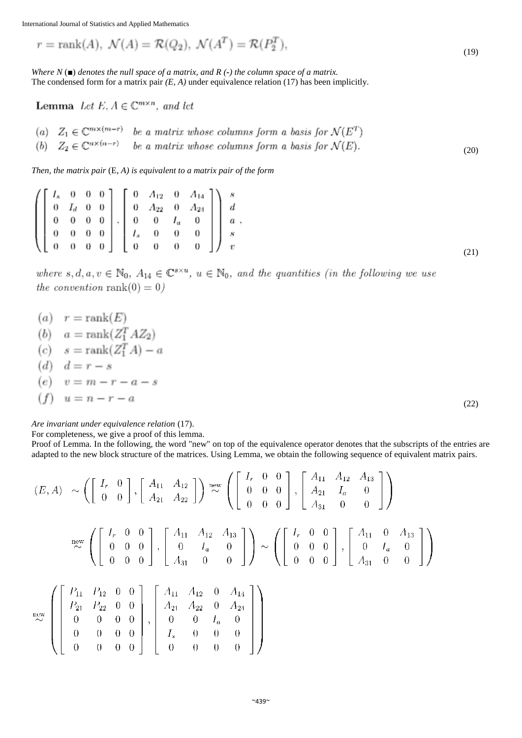$$
r = \operatorname{rank}(A), \ \mathcal{N}(A) = \mathcal{R}(Q_2), \ \mathcal{N}(A^T) = \mathcal{R}(P_2^T), \tag{19}
$$

*Where N* (*■*) *denotes the null space of a matrix, and R (-) the column space of a matrix.* The condensed form for a matrix pair *(E, A)* under equivalence relation (17) has been implicitly.

**Lemma** Let E,  $A \in \mathbb{C}^{m \times n}$ , and let

(a)  $Z_1 \in \mathbb{C}^{m \times (m-r)}$  be a matrix whose columns form a basis for  $\mathcal{N}(E^T)$ <br>
(b)  $Z_2 \in \mathbb{C}^{n \times (n-r)}$  be a matrix whose columns form a basis for  $\mathcal{N}(E)$ . (20)

*Then, the matrix pair* (E, *A) is equivalent to a matrix pair of the form*

$$
\left( \begin{bmatrix} I_s & 0 & 0 & 0 \\ 0 & I_d & 0 & 0 \\ 0 & 0 & 0 & 0 \\ 0 & 0 & 0 & 0 \\ 0 & 0 & 0 & 0 \end{bmatrix}, \begin{bmatrix} 0 & A_{12} & 0 & A_{14} \\ 0 & A_{22} & 0 & A_{24} \\ 0 & 0 & I_a & 0 \\ I_s & 0 & 0 & 0 \\ 0 & 0 & 0 & 0 \end{bmatrix} \right) \begin{bmatrix} s \\ d \\ d \\ a \\ s \\ v \end{bmatrix}, \tag{21}
$$

where  $s, d, a, v \in \mathbb{N}_0$ ,  $A_{14} \in \mathbb{C}^{s \times u}$ ,  $u \in \mathbb{N}_0$ , and the quantities (in the following we use the convention rank $(0) = 0$ )

$$
(a) \quad r = \text{rank}(E)
$$
\n
$$
(b) \quad a = \text{rank}(Z_1^T A Z_2)
$$
\n
$$
(c) \quad s = \text{rank}(Z_1^T A) - a
$$
\n
$$
(d) \quad d = r - s
$$
\n
$$
(e) \quad v = m - r - a - s
$$
\n
$$
(f) \quad u = n - r - a
$$
\n
$$
(22)
$$

*Are invariant under equivalence relation* (17).

For completeness, we give a proof of this lemma.

Proof of Lemma. In the following, the word "new" on top of the equivalence operator denotes that the subscripts of the entries are adapted to the new block structure of the matrices. Using Lemma, we obtain the following sequence of equivalent matrix pairs.

$$
(E, A) \sim \left( \begin{bmatrix} I_r & 0 \\ 0 & 0 \end{bmatrix}, \begin{bmatrix} A_{11} & A_{12} \\ A_{21} & A_{22} \end{bmatrix} \right) \stackrel{\text{new}}{\sim} \left( \begin{bmatrix} I_r & 0 & 0 \\ 0 & 0 & 0 \\ 0 & 0 & 0 \end{bmatrix}, \begin{bmatrix} A_{11} & A_{12} & A_{13} \\ A_{21} & I_a & 0 \\ A_{31} & 0 & 0 \end{bmatrix} \right)
$$

$$
\stackrel{\text{new}}{\sim} \left( \begin{bmatrix} I_r & 0 & 0 \\ 0 & 0 & 0 \\ 0 & 0 & 0 \end{bmatrix}, \begin{bmatrix} A_{11} & A_{12} & A_{13} \\ 0 & I_a & 0 \\ A_{31} & 0 & 0 \end{bmatrix} \right) \sim \left( \begin{bmatrix} I_r & 0 & 0 \\ 0 & 0 & 0 \\ 0 & 0 & 0 \end{bmatrix}, \begin{bmatrix} A_{11} & 0 & A_{13} \\ 0 & I_a & 0 \\ A_{31} & 0 & 0 \end{bmatrix} \right)
$$

$$
\stackrel{\text{new}}{\sim} \left( \begin{bmatrix} P_{11} & P_{12} & 0 & 0 \\ 0 & 0 & 0 & 0 \\ 0 & 0 & 0 & 0 \\ 0 & 0 & 0 & 0 \end{bmatrix}, \begin{bmatrix} A_{11} & A_{12} & 0 & A_{14} \\ A_{21} & A_{22} & 0 & A_{24} \\ A_{21} & A_{22} & 0 & A_{24} \\ 0 & 0 & 0 & 0 \end{bmatrix} \right)
$$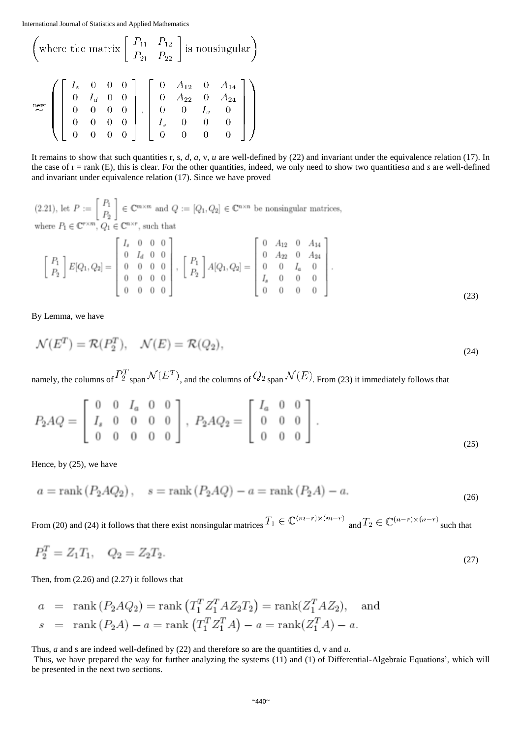$$
\begin{pmatrix}\n\text{where the matrix } \begin{bmatrix} P_{11} & P_{12} \\ P_{21} & P_{22} \end{bmatrix} \text{ is nonsingular}\n\end{pmatrix}
$$
\n
$$
\begin{pmatrix}\nI_s & 0 & 0 & 0 \\
0 & I_d & 0 & 0 \\
0 & 0 & 0 & 0 \\
0 & 0 & 0 & 0 \\
0 & 0 & 0 & 0\n\end{pmatrix}, \begin{bmatrix}\n0 & A_{12} & 0 & A_{14} \\
0 & A_{22} & 0 & A_{24} \\
0 & 0 & I_a & 0 \\
I_s & 0 & 0 & 0 \\
0 & 0 & 0 & 0\n\end{bmatrix}
$$

It remains to show that such quantities r, s, *d, a,* v, *u* are well**-**defined by (22) and invariant under the equivalence relation (17). In the case of  $r = rank(E)$ , this is clear. For the other quantities, indeed, we only need to show two quantities*a* and *s* are well-defined and invariant under equivalence relation (17). Since we have proved

(2.21), let  $P := \begin{bmatrix} P_1 \\ P_2 \end{bmatrix} \in \mathbb{C}^{m \times m}$  and  $Q := [Q_1, Q_2] \in \mathbb{C}^{n \times n}$  be nonsingular matrices, where  $P_1 \in \mathbb{C}^{r \times m}$ ,  $Q_1 \in \mathbb{C}^{n \times r}$ , such that  $\Gamma$   $\sim$  0.000

$$
\begin{bmatrix} P_1 \\ P_2 \end{bmatrix} E[Q_1, Q_2] = \begin{bmatrix} I_s & 0 & 0 & 0 \\ 0 & I_d & 0 & 0 \\ 0 & 0 & 0 & 0 \\ 0 & 0 & 0 & 0 \\ 0 & 0 & 0 & 0 \end{bmatrix}, \begin{bmatrix} P_1 \\ P_2 \end{bmatrix} A[Q_1, Q_2] = \begin{bmatrix} 0 & A_{12} & 0 & A_{14} \\ 0 & A_{22} & 0 & A_{24} \\ 0 & 0 & I_a & 0 \\ I_s & 0 & 0 & 0 \\ 0 & 0 & 0 & 0 \end{bmatrix}.
$$
\n(23)

By Lemma, we have

$$
\mathcal{N}(E^T) = \mathcal{R}(P_2^T), \quad \mathcal{N}(E) = \mathcal{R}(Q_2), \tag{24}
$$

namely, the columns of  $P_2^T$  span  $\mathcal{N}(E^T)$ , and the columns of  $Q_2$  span  $\mathcal{N}(E)$ . From (23) it immediately follows that

$$
P_2AQ = \begin{bmatrix} 0 & 0 & I_a & 0 & 0 \\ I_s & 0 & 0 & 0 & 0 \\ 0 & 0 & 0 & 0 & 0 \end{bmatrix}, P_2AQ_2 = \begin{bmatrix} I_a & 0 & 0 \\ 0 & 0 & 0 \\ 0 & 0 & 0 \end{bmatrix}.
$$
 (25)

Hence, by (25), we have

$$
a = \text{rank}(P_2AQ_2), \quad s = \text{rank}(P_2AQ) - a = \text{rank}(P_2A) - a.
$$
 (26)

From (20) and (24) it follows that there exist nonsingular matrices  $T_1 \in \mathbb{C}^{(m-r)\times (m-r)}$  and  $T_2 \in \mathbb{C}^{(n-r)\times (n-r)}$  such that

$$
P_2^T = Z_1 T_1, \quad Q_2 = Z_2 T_2. \tag{27}
$$

Then, from (2.26) and (2.27) it follows that

$$
a = \text{rank}(P_2AQ_2) = \text{rank}(T_1^T Z_1^T AZ_2 T_2) = \text{rank}(Z_1^T AZ_2),
$$
 and  
\n $s = \text{rank}(P_2A) - a = \text{rank}(T_1^T Z_1^T A) - a = \text{rank}(Z_1^T A) - a.$ 

Thus, *a* and s are indeed well**-**defined by (22) and therefore so are the quantities d, v and *u.*

Thus, we have prepared the way for further analyzing the systems (11) and (1) of Differential**-**Algebraic Equations', which will be presented in the next two sections.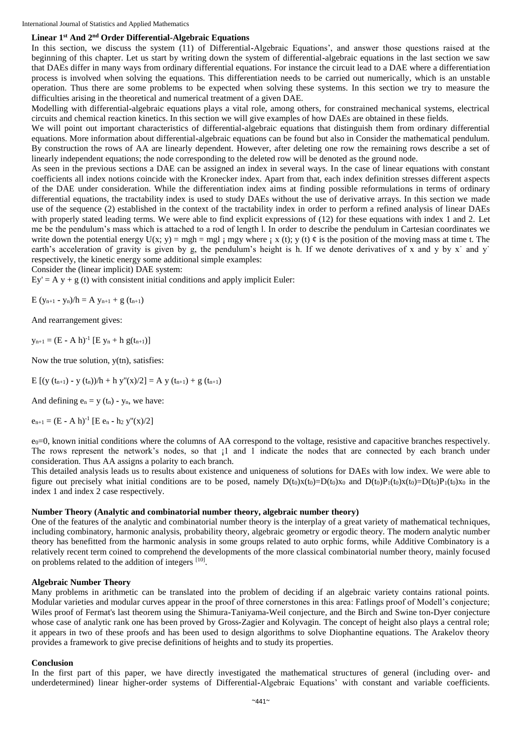# **Linear 1st And 2nd Order Differential-Algebraic Equations**

In this section, we discuss the system (11) of Differential**-**Algebraic Equations', and answer those questions raised at the beginning of this chapter. Let us start by writing down the system of differential**-**algebraic equations in the last section we saw that DAEs differ in many ways from ordinary differential equations. For instance the circuit lead to a DAE where a differentiation process is involved when solving the equations. This differentiation needs to be carried out numerically, which is an unstable operation. Thus there are some problems to be expected when solving these systems. In this section we try to measure the difficulties arising in the theoretical and numerical treatment of a given DAE.

Modelling with differential**-**algebraic equations plays a vital role, among others, for constrained mechanical systems, electrical circuits and chemical reaction kinetics. In this section we will give examples of how DAEs are obtained in these fields.

We will point out important characteristics of differential**-**algebraic equations that distinguish them from ordinary differential equations. More information about differential**-**algebraic equations can be found but also in Consider the mathematical pendulum. By construction the rows of AA are linearly dependent. However, after deleting one row the remaining rows describe a set of linearly independent equations; the node corresponding to the deleted row will be denoted as the ground node.

As seen in the previous sections a DAE can be assigned an index in several ways. In the case of linear equations with constant coefficients all index notions coincide with the Kronecker index. Apart from that, each index definition stresses different aspects of the DAE under consideration. While the differentiation index aims at finding possible reformulations in terms of ordinary differential equations, the tractability index is used to study DAEs without the use of derivative arrays. In this section we made use of the sequence (2) established in the context of the tractability index in order to perform a refined analysis of linear DAEs with properly stated leading terms. We were able to find explicit expressions of (12) for these equations with index 1 and 2. Let me be the pendulum's mass which is attached to a rod of length l. In order to describe the pendulum in Cartesian coordinates we write down the potential energy  $U(x; y) = mgh = mgl$  ; mgy where ; x (t); y (t)  $\phi$  is the position of the moving mass at time t. The earth's acceleration of gravity is given by g, the pendulum's height is h. If we denote derivatives of x and y by x<sup> $\cdot$ </sup> and y<sup> $\cdot$ </sup> respectively, the kinetic energy some additional simple examples:

Consider the (linear implicit) DAE system:

 $Ey' = A y + g(t)$  with consistent initial conditions and apply implicit Euler:

E  $(y_{n+1} - y_n)/h = A y_{n+1} + g (t_{n+1})$ 

And rearrangement gives:

 $y_{n+1} = (E - A h)^{-1} [E y_n + h g(t_{n+1})]$ 

Now the true solution, y(tn), satisfies:

E  $[(y(t_{n+1}) - y(t_n))/h + h y''(x)/2] = A y(t_{n+1}) + g(t_{n+1})$ 

And defining  $e_n = y(t_n) - y_n$ , we have:

 $e_{n+1} = (E - A h)^{-1} [E e_n - h_2 y''(x)/2]$ 

 $e_0$ =0, known initial conditions where the columns of AA correspond to the voltage, resistive and capacitive branches respectively. The rows represent the network's nodes, so that  $\mu$  and 1 indicate the nodes that are connected by each branch under consideration. Thus AA assigns a polarity to each branch.

This detailed analysis leads us to results about existence and uniqueness of solutions for DAEs with low index. We were able to figure out precisely what initial conditions are to be posed, namely  $D(t_0)x(t_0)=D(t_0)x_0$  and  $D(t_0)P_1(t_0)x(t_0)=D(t_0)P_1(t_0)x_0$  in the index 1 and index 2 case respectively.

# **Number Theory (Analytic and combinatorial number theory, algebraic number theory)**

One of the features of the analytic and combinatorial number theory is the interplay of a great variety of mathematical techniques, including combinatory, harmonic analysis, probability theory, algebraic geometry or ergodic theory. The modern analytic number theory has benefitted from the harmonic analysis in some groups related to auto orphic forms, while Additive Combinatory is a relatively recent term coined to comprehend the developments of the more classical combinatorial number theory, mainly focused on problems related to the addition of integers [10].

### **Algebraic Number Theory**

Many problems in arithmetic can be translated into the problem of deciding if an algebraic variety contains rational points. Modular varieties and modular curves appear in the proof of three cornerstones in this area: Fatlings proof of Modell's conjecture; Wiles proof of Fermat's last theorem using the Shimura**-**Taniyama**-**Weil conjecture, and the Birch and Swine ton**-**Dyer conjecture whose case of analytic rank one has been proved by Gross**-**Zagier and Kolyvagin. The concept of height also plays a central role; it appears in two of these proofs and has been used to design algorithms to solve Diophantine equations. The Arakelov theory provides a framework to give precise definitions of heights and to study its properties.

### **Conclusion**

In the first part of this paper, we have directly investigated the mathematical structures of general (including over**-** and underdetermined) linear higher**-**order systems of Differential**-**Algebraic Equations' with constant and variable coefficients.